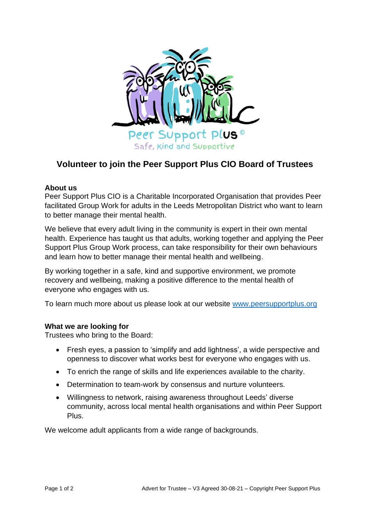

# **Volunteer to join the Peer Support Plus CIO Board of Trustees**

## **About us**

Peer Support Plus CIO is a Charitable Incorporated Organisation that provides Peer facilitated Group Work for adults in the Leeds Metropolitan District who want to learn to better manage their mental health.

We believe that every adult living in the community is expert in their own mental health. Experience has taught us that adults, working together and applying the Peer Support Plus Group Work process, can take responsibility for their own behaviours and learn how to better manage their mental health and wellbeing.

By working together in a safe, kind and supportive environment, we promote recovery and wellbeing, making a positive difference to the mental health of everyone who engages with us.

To learn much more about us please look at our website [www.peersupportplus.org](http://www.peersupportplus.org/)

## **What we are looking for**

Trustees who bring to the Board:

- Fresh eyes, a passion to 'simplify and add lightness', a wide perspective and openness to discover what works best for everyone who engages with us.
- To enrich the range of skills and life experiences available to the charity.
- Determination to team-work by consensus and nurture volunteers.
- Willingness to network, raising awareness throughout Leeds' diverse community, across local mental health organisations and within Peer Support Plus.

We welcome adult applicants from a wide range of backgrounds.